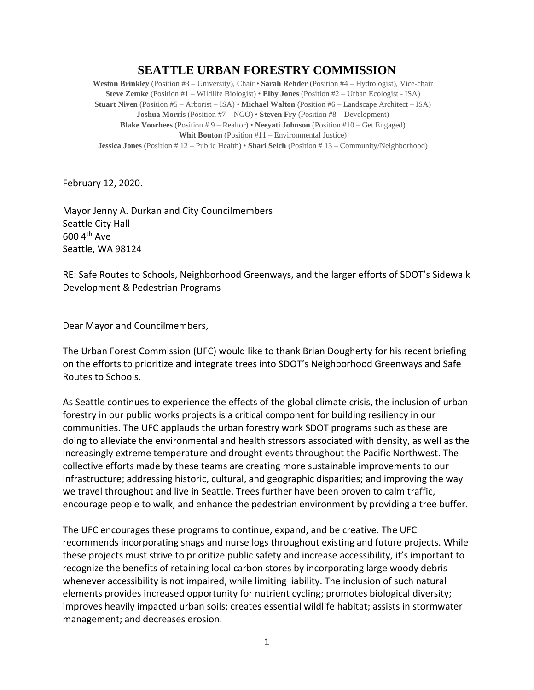## **SEATTLE URBAN FORESTRY COMMISSION**

**Weston Brinkley** (Position #3 – University), Chair • **Sarah Rehder** (Position #4 – Hydrologist), Vice-chair **Steve Zemke** (Position #1 – Wildlife Biologist) • **Elby Jones** (Position #2 – Urban Ecologist - ISA) **Stuart Niven** (Position #5 – Arborist – ISA) • **Michael Walton** (Position #6 – Landscape Architect – ISA) **Joshua Morris** (Position #7 – NGO) • **Steven Fry** (Position #8 – Development) **Blake Voorhees** (Position # 9 – Realtor) • **Neeyati Johnson** (Position #10 – Get Engaged) **Whit Bouton** (Position #11 – Environmental Justice) **Jessica Jones** (Position # 12 – Public Health) • **Shari Selch** (Position # 13 – Community/Neighborhood)

February 12, 2020.

Mayor Jenny A. Durkan and City Councilmembers Seattle City Hall 600 4th Ave Seattle, WA 98124

RE: Safe Routes to Schools, Neighborhood Greenways, and the larger efforts of SDOT's Sidewalk Development & Pedestrian Programs

Dear Mayor and Councilmembers,

The Urban Forest Commission (UFC) would like to thank Brian Dougherty for his recent briefing on the efforts to prioritize and integrate trees into SDOT's Neighborhood Greenways and Safe Routes to Schools.

As Seattle continues to experience the effects of the global climate crisis, the inclusion of urban forestry in our public works projects is a critical component for building resiliency in our communities. The UFC applauds the urban forestry work SDOT programs such as these are doing to alleviate the environmental and health stressors associated with density, as well as the increasingly extreme temperature and drought events throughout the Pacific Northwest. The collective efforts made by these teams are creating more sustainable improvements to our infrastructure; addressing historic, cultural, and geographic disparities; and improving the way we travel throughout and live in Seattle. Trees further have been proven to calm traffic, encourage people to walk, and enhance the pedestrian environment by providing a tree buffer.

The UFC encourages these programs to continue, expand, and be creative. The UFC recommends incorporating snags and nurse logs throughout existing and future projects. While these projects must strive to prioritize public safety and increase accessibility, it's important to recognize the benefits of retaining local carbon stores by incorporating large woody debris whenever accessibility is not impaired, while limiting liability. The inclusion of such natural elements provides increased opportunity for nutrient cycling; promotes biological diversity; improves heavily impacted urban soils; creates essential wildlife habitat; assists in stormwater management; and decreases erosion.